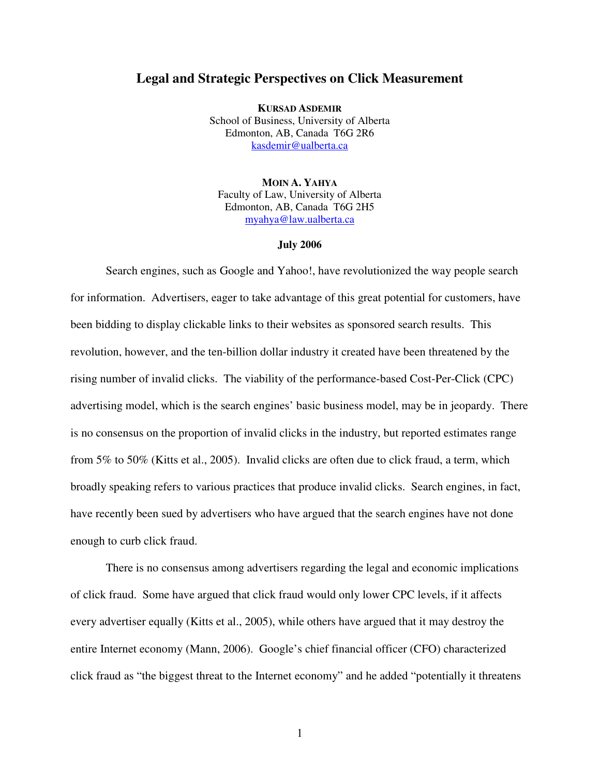# **Legal and Strategic Perspectives on Click Measurement**

**KURSAD ASDEMIR** School of Business, University of Alberta Edmonton, AB, Canada T6G 2R6 kasdemir@ualberta.ca

**MOIN A. YAHYA** Faculty of Law, University of Alberta Edmonton, AB, Canada T6G 2H5 myahya@law.ualberta.ca

#### **July 2006**

Search engines, such as Google and Yahoo!, have revolutionized the way people search for information. Advertisers, eager to take advantage of this great potential for customers, have been bidding to display clickable links to their websites as sponsored search results. This revolution, however, and the ten-billion dollar industry it created have been threatened by the rising number of invalid clicks. The viability of the performance-based Cost-Per-Click (CPC) advertising model, which is the search engines' basic business model, may be in jeopardy. There is no consensus on the proportion of invalid clicks in the industry, but reported estimates range from 5% to 50% (Kitts et al., 2005). Invalid clicks are often due to click fraud, a term, which broadly speaking refers to various practices that produce invalid clicks. Search engines, in fact, have recently been sued by advertisers who have argued that the search engines have not done enough to curb click fraud.

There is no consensus among advertisers regarding the legal and economic implications of click fraud. Some have argued that click fraud would only lower CPC levels, if it affects every advertiser equally (Kitts et al., 2005), while others have argued that it may destroy the entire Internet economy (Mann, 2006). Google's chief financial officer (CFO) characterized click fraud as "the biggest threat to the Internet economy" and he added "potentially it threatens

1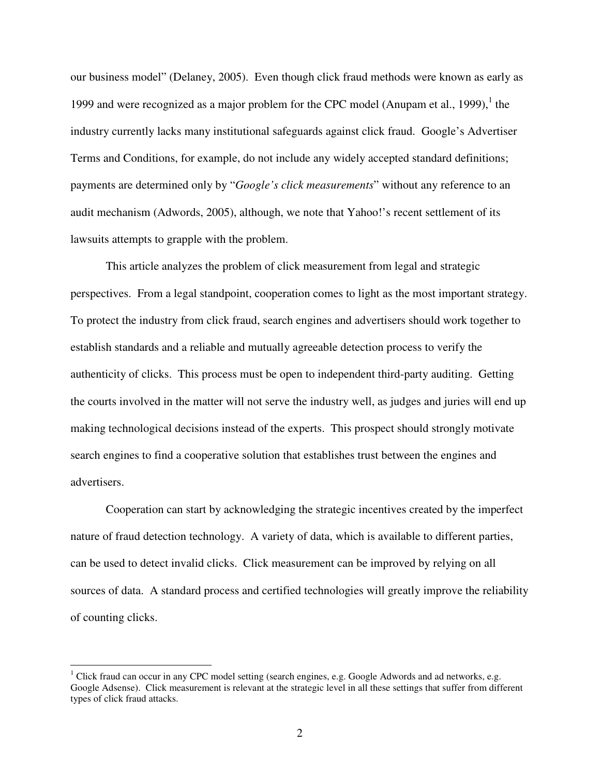our business model" (Delaney, 2005). Even though click fraud methods were known as early as 1999 and were recognized as a major problem for the CPC model (Anupam et al., 1999), $<sup>1</sup>$  the</sup> industry currently lacks many institutional safeguards against click fraud. Google's Advertiser Terms and Conditions, for example, do not include any widely accepted standard definitions; payments are determined only by "*Google's click measurements*" without any reference to an audit mechanism (Adwords, 2005), although, we note that Yahoo!'s recent settlement of its lawsuits attempts to grapple with the problem.

This article analyzes the problem of click measurement from legal and strategic perspectives. From a legal standpoint, cooperation comes to light as the most important strategy. To protect the industry from click fraud, search engines and advertisers should work together to establish standards and a reliable and mutually agreeable detection process to verify the authenticity of clicks. This process must be open to independent third-party auditing. Getting the courts involved in the matter will not serve the industry well, as judges and juries will end up making technological decisions instead of the experts. This prospect should strongly motivate search engines to find a cooperative solution that establishes trust between the engines and advertisers.

Cooperation can start by acknowledging the strategic incentives created by the imperfect nature of fraud detection technology. A variety of data, which is available to different parties, can be used to detect invalid clicks. Click measurement can be improved by relying on all sources of data. A standard process and certified technologies will greatly improve the reliability of counting clicks.

<sup>&</sup>lt;sup>1</sup> Click fraud can occur in any CPC model setting (search engines, e.g. Google Adwords and ad networks, e.g. Google Adsense). Click measurement is relevant at the strategic level in all these settings that suffer from different types of click fraud attacks.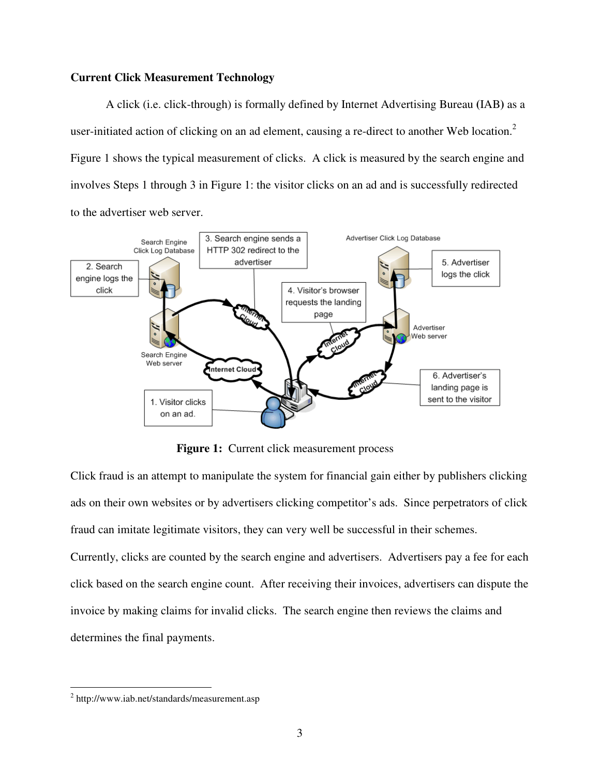# **Current Click Measurement Technology**

A click (i.e. click-through) is formally defined by Internet Advertising Bureau **(**IAB**)** as a user-initiated action of clicking on an ad element, causing a re-direct to another Web location.<sup>2</sup> Figure 1 shows the typical measurement of clicks. A click is measured by the search engine and involves Steps 1 through 3 in Figure 1: the visitor clicks on an ad and is successfully redirected to the advertiser web server.



**Figure 1:** Current click measurement process

Click fraud is an attempt to manipulate the system for financial gain either by publishers clicking ads on their own websites or by advertisers clicking competitor's ads. Since perpetrators of click fraud can imitate legitimate visitors, they can very well be successful in their schemes.

Currently, clicks are counted by the search engine and advertisers. Advertisers pay a fee for each click based on the search engine count. After receiving their invoices, advertisers can dispute the invoice by making claims for invalid clicks. The search engine then reviews the claims and determines the final payments.

<sup>&</sup>lt;sup>2</sup> http://www.iab.net/standards/measurement.asp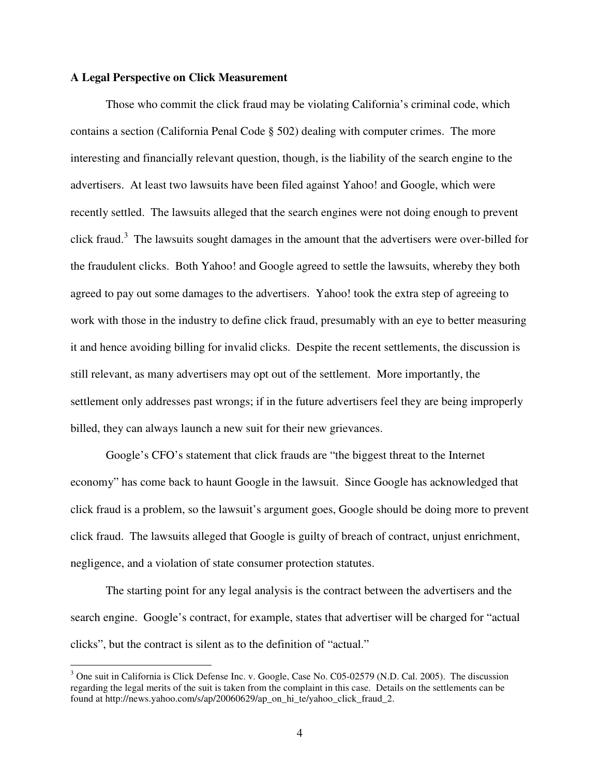### **A Legal Perspective on Click Measurement**

Those who commit the click fraud may be violating California's criminal code, which contains a section (California Penal Code  $\S$  502) dealing with computer crimes. The more interesting and financially relevant question, though, is the liability of the search engine to the advertisers. At least two lawsuits have been filed against Yahoo! and Google, which were recently settled. The lawsuits alleged that the search engines were not doing enough to prevent click fraud.<sup>3</sup> The lawsuits sought damages in the amount that the advertisers were over-billed for the fraudulent clicks. Both Yahoo! and Google agreed to settle the lawsuits, whereby they both agreed to pay out some damages to the advertisers. Yahoo! took the extra step of agreeing to work with those in the industry to define click fraud, presumably with an eye to better measuring it and hence avoiding billing for invalid clicks. Despite the recent settlements, the discussion is still relevant, as many advertisers may opt out of the settlement. More importantly, the settlement only addresses past wrongs; if in the future advertisers feel they are being improperly billed, they can always launch a new suit for their new grievances.

Google's CFO's statement that click frauds are "the biggest threat to the Internet economy" has come back to haunt Google in the lawsuit. Since Google has acknowledged that click fraud is a problem, so the lawsuit's argument goes, Google should be doing more to prevent click fraud. The lawsuits alleged that Google is guilty of breach of contract, unjust enrichment, negligence, and a violation of state consumer protection statutes.

The starting point for any legal analysis is the contract between the advertisers and the search engine. Google's contract, for example, states that advertiser will be charged for "actual clicks", but the contract is silent as to the definition of "actual."

<sup>&</sup>lt;sup>3</sup> One suit in California is Click Defense Inc. v. Google, Case No. C05-02579 (N.D. Cal. 2005). The discussion regarding the legal merits of the suit is taken from the complaint in this case. Details on the settlements can be found at http://news.yahoo.com/s/ap/20060629/ap\_on\_hi\_te/yahoo\_click\_fraud\_2.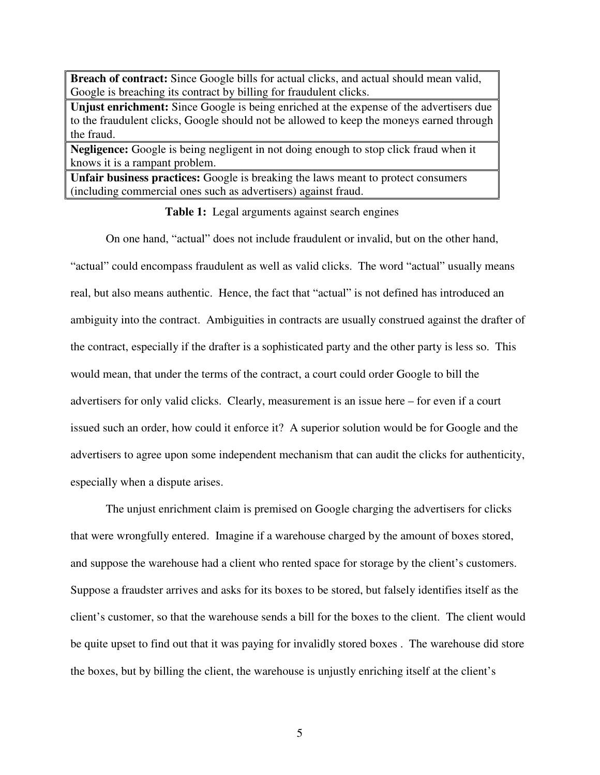**Breach of contract:** Since Google bills for actual clicks, and actual should mean valid, Google is breaching its contract by billing for fraudulent clicks.

**Unjust enrichment:** Since Google is being enriched at the expense of the advertisers due to the fraudulent clicks, Google should not be allowed to keep the moneys earned through the fraud.

**Negligence:** Google is being negligent in not doing enough to stop click fraud when it knows it is a rampant problem.

**Unfair business practices:** Google is breaking the laws meant to protect consumers (including commercial ones such as advertisers) against fraud.

**Table 1:** Legal arguments against search engines

On one hand, "actual" does not include fraudulent or invalid, but on the other hand, "actual" could encompass fraudulent as well as valid clicks. The word "actual" usually means real, but also means authentic. Hence, the fact that "actual" is not defined has introduced an ambiguity into the contract. Ambiguities in contracts are usually construed against the drafter of the contract, especially if the drafter is a sophisticated party and the other party is less so. This would mean, that under the terms of the contract, a court could order Google to bill the advertisers for only valid clicks. Clearly, measurement is an issue here – for even if a court issued such an order, how could it enforce it? A superior solution would be for Google and the advertisers to agree upon some independent mechanism that can audit the clicks for authenticity, especially when a dispute arises.

The unjust enrichment claim is premised on Google charging the advertisers for clicks that were wrongfully entered. Imagine if a warehouse charged by the amount of boxes stored, and suppose the warehouse had a client who rented space for storage by the client's customers. Suppose a fraudster arrives and asks for its boxes to be stored, but falsely identifies itself as the client's customer, so that the warehouse sends a bill for the boxes to the client. The client would be quite upset to find out that it was paying for invalidly stored boxes . The warehouse did store the boxes, but by billing the client, the warehouse is unjustly enriching itself at the client's

5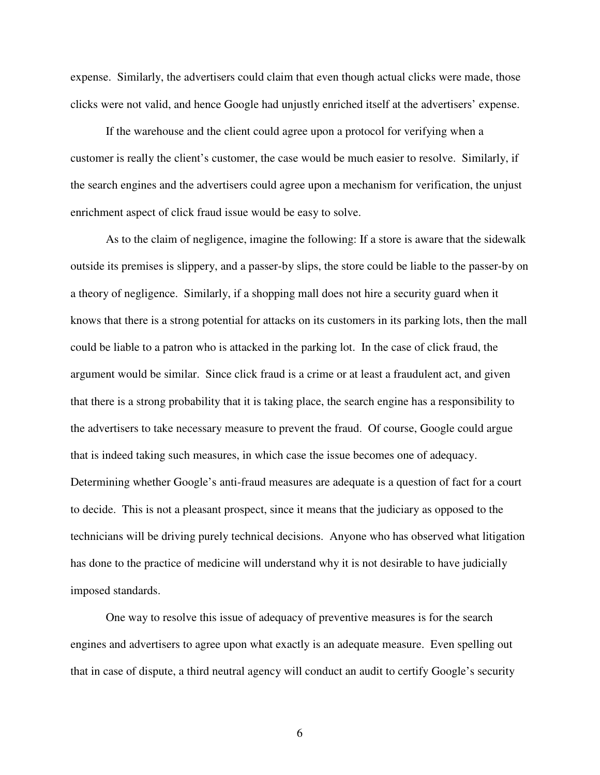expense. Similarly, the advertisers could claim that even though actual clicks were made, those clicks were not valid, and hence Google had unjustly enriched itself at the advertisers' expense.

If the warehouse and the client could agree upon a protocol for verifying when a customer is really the client's customer, the case would be much easier to resolve. Similarly, if the search engines and the advertisers could agree upon a mechanism for verification, the unjust enrichment aspect of click fraud issue would be easy to solve.

As to the claim of negligence, imagine the following: If a store is aware that the sidewalk outside its premises is slippery, and a passer-by slips, the store could be liable to the passer-by on a theory of negligence. Similarly, if a shopping mall does not hire a security guard when it knows that there is a strong potential for attacks on its customers in its parking lots, then the mall could be liable to a patron who is attacked in the parking lot. In the case of click fraud, the argument would be similar. Since click fraud is a crime or at least a fraudulent act, and given that there is a strong probability that it is taking place, the search engine has a responsibility to the advertisers to take necessary measure to prevent the fraud. Of course, Google could argue that is indeed taking such measures, in which case the issue becomes one of adequacy. Determining whether Google's anti-fraud measures are adequate is a question of fact for a court to decide. This is not a pleasant prospect, since it means that the judiciary as opposed to the technicians will be driving purely technical decisions. Anyone who has observed what litigation has done to the practice of medicine will understand why it is not desirable to have judicially imposed standards.

One way to resolve this issue of adequacy of preventive measures is for the search engines and advertisers to agree upon what exactly is an adequate measure. Even spelling out that in case of dispute, a third neutral agency will conduct an audit to certify Google's security

6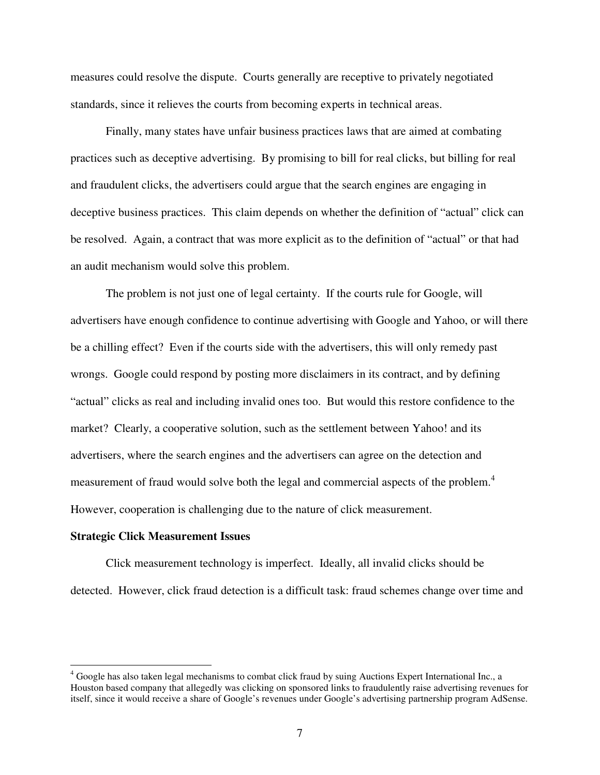measures could resolve the dispute. Courts generally are receptive to privately negotiated standards, since it relieves the courts from becoming experts in technical areas.

Finally, many states have unfair business practices laws that are aimed at combating practices such as deceptive advertising. By promising to bill for real clicks, but billing for real and fraudulent clicks, the advertisers could argue that the search engines are engaging in deceptive business practices. This claim depends on whether the definition of "actual" click can be resolved. Again, a contract that was more explicit as to the definition of "actual" or that had an audit mechanism would solve this problem.

The problem is not just one of legal certainty. If the courts rule for Google, will advertisers have enough confidence to continue advertising with Google and Yahoo, or will there be a chilling effect? Even if the courts side with the advertisers, this will only remedy past wrongs. Google could respond by posting more disclaimers in its contract, and by defining "actual" clicks as real and including invalid ones too. But would this restore confidence to the market? Clearly, a cooperative solution, such as the settlement between Yahoo! and its advertisers, where the search engines and the advertisers can agree on the detection and measurement of fraud would solve both the legal and commercial aspects of the problem.<sup>4</sup> However, cooperation is challenging due to the nature of click measurement.

#### **Strategic Click Measurement Issues**

Click measurement technology is imperfect. Ideally, all invalid clicks should be detected. However, click fraud detection is a difficult task: fraud schemes change over time and

<sup>&</sup>lt;sup>4</sup> Google has also taken legal mechanisms to combat click fraud by suing Auctions Expert International Inc., a Houston based company that allegedly was clicking on sponsored links to fraudulently raise advertising revenues for itself, since it would receive a share of Google's revenues under Google's advertising partnership program AdSense.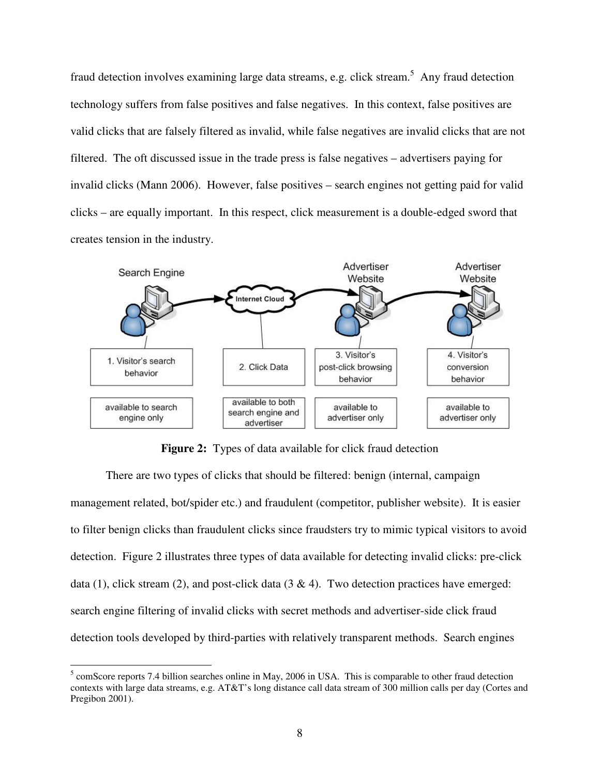fraud detection involves examining large data streams, e.g. click stream.<sup>5</sup> Any fraud detection technology suffers from false positives and false negatives. In this context, false positives are valid clicks that are falsely filtered as invalid, while false negatives are invalid clicks that are not filtered. The oft discussed issue in the trade press is false negatives – advertisers paying for invalid clicks (Mann 2006). However, false positives – search engines not getting paid for valid clicks – are equally important. In this respect, click measurement is a double-edged sword that creates tension in the industry.



**Figure 2:** Types of data available for click fraud detection

There are two types of clicks that should be filtered: benign (internal, campaign management related, bot/spider etc.) and fraudulent (competitor, publisher website). It is easier to filter benign clicks than fraudulent clicks since fraudsters try to mimic typical visitors to avoid detection. Figure 2 illustrates three types of data available for detecting invalid clicks: pre-click data (1), click stream (2), and post-click data (3  $\&$  4). Two detection practices have emerged: search engine filtering of invalid clicks with secret methods and advertiser-side click fraud detection tools developed by third-parties with relatively transparent methods. Search engines

<sup>&</sup>lt;sup>5</sup> comScore reports 7.4 billion searches online in May, 2006 in USA. This is comparable to other fraud detection contexts with large data streams, e.g. AT&T's long distance call data stream of 300 million calls per day (Cortes and Pregibon 2001).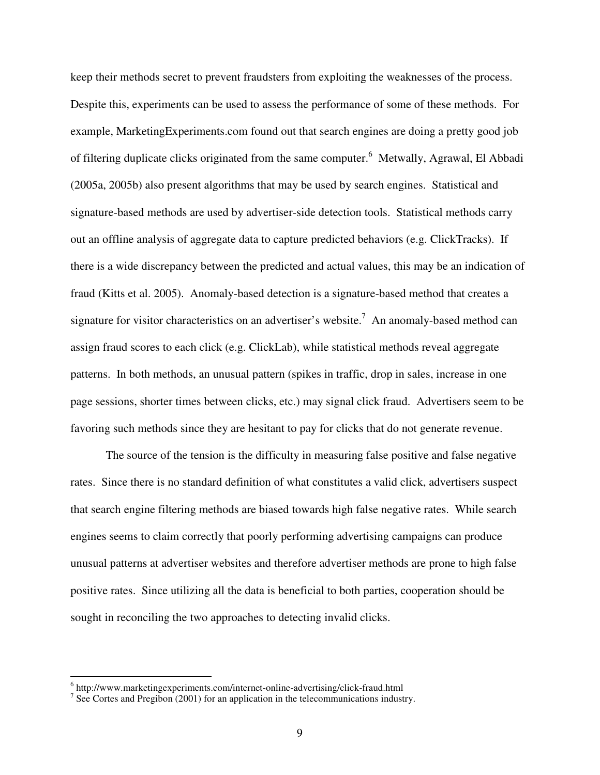keep their methods secret to prevent fraudsters from exploiting the weaknesses of the process. Despite this, experiments can be used to assess the performance of some of these methods. For example, MarketingExperiments.com found out that search engines are doing a pretty good job of filtering duplicate clicks originated from the same computer.<sup>6</sup> Metwally, Agrawal, El Abbadi (2005a, 2005b) also present algorithms that may be used by search engines. Statistical and signature-based methods are used by advertiser-side detection tools. Statistical methods carry out an offline analysis of aggregate data to capture predicted behaviors (e.g. ClickTracks). If there is a wide discrepancy between the predicted and actual values, this may be an indication of fraud (Kitts et al. 2005). Anomaly-based detection is a signature-based method that creates a signature for visitor characteristics on an advertiser's website.<sup>7</sup> An anomaly-based method can assign fraud scores to each click (e.g. ClickLab), while statistical methods reveal aggregate patterns. In both methods, an unusual pattern (spikes in traffic, drop in sales, increase in one page sessions, shorter times between clicks, etc.) may signal click fraud. Advertisers seem to be favoring such methods since they are hesitant to pay for clicks that do not generate revenue.

The source of the tension is the difficulty in measuring false positive and false negative rates. Since there is no standard definition of what constitutes a valid click, advertisers suspect that search engine filtering methods are biased towards high false negative rates. While search engines seems to claim correctly that poorly performing advertising campaigns can produce unusual patterns at advertiser websites and therefore advertiser methods are prone to high false positive rates. Since utilizing all the data is beneficial to both parties, cooperation should be sought in reconciling the two approaches to detecting invalid clicks.

<sup>&</sup>lt;sup>6</sup> http://www.marketingexperiments.com/internet-online-advertising/click-fraud.html

 $<sup>7</sup>$  See Cortes and Pregibon (2001) for an application in the telecommunications industry.</sup>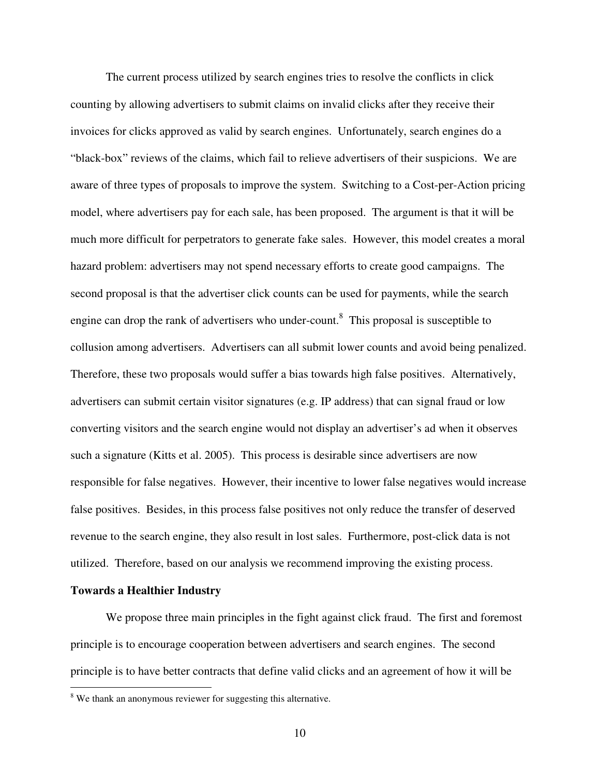The current process utilized by search engines tries to resolve the conflicts in click counting by allowing advertisers to submit claims on invalid clicks after they receive their invoices for clicks approved as valid by search engines. Unfortunately, search engines do a "black-box" reviews of the claims, which fail to relieve advertisers of their suspicions. We are aware of three types of proposals to improve the system. Switching to a Cost-per-Action pricing model, where advertisers pay for each sale, has been proposed. The argument is that it will be much more difficult for perpetrators to generate fake sales. However, this model creates a moral hazard problem: advertisers may not spend necessary efforts to create good campaigns. The second proposal is that the advertiser click counts can be used for payments, while the search engine can drop the rank of advertisers who under-count.<sup>8</sup> This proposal is susceptible to collusion among advertisers. Advertisers can all submit lower counts and avoid being penalized. Therefore, these two proposals would suffer a bias towards high false positives. Alternatively, advertisers can submit certain visitor signatures (e.g. IP address) that can signal fraud or low converting visitors and the search engine would not display an advertiser's ad when it observes such a signature (Kitts et al. 2005). This process is desirable since advertisers are now responsible for false negatives. However, their incentive to lower false negatives would increase false positives. Besides, in this process false positives not only reduce the transfer of deserved revenue to the search engine, they also result in lost sales. Furthermore, post-click data is not utilized. Therefore, based on our analysis we recommend improving the existing process.

# **Towards a Healthier Industry**

We propose three main principles in the fight against click fraud. The first and foremost principle is to encourage cooperation between advertisers and search engines. The second principle is to have better contracts that define valid clicks and an agreement of how it will be

<sup>&</sup>lt;sup>8</sup> We thank an anonymous reviewer for suggesting this alternative.